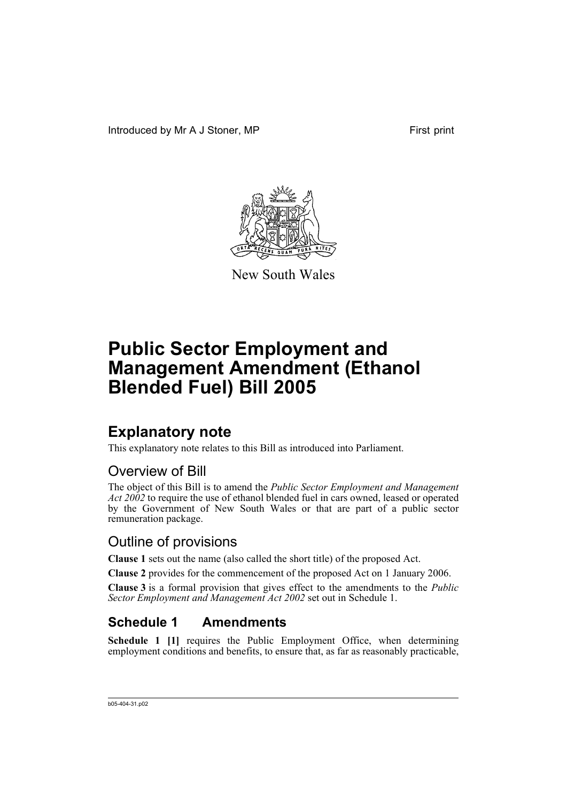Introduced by Mr A J Stoner, MP First print



New South Wales

# **Public Sector Employment and Management Amendment (Ethanol Blended Fuel) Bill 2005**

## **Explanatory note**

This explanatory note relates to this Bill as introduced into Parliament.

#### Overview of Bill

The object of this Bill is to amend the *Public Sector Employment and Management Act 2002* to require the use of ethanol blended fuel in cars owned, leased or operated by the Government of New South Wales or that are part of a public sector remuneration package.

#### Outline of provisions

**Clause 1** sets out the name (also called the short title) of the proposed Act.

**Clause 2** provides for the commencement of the proposed Act on 1 January 2006.

**Clause 3** is a formal provision that gives effect to the amendments to the *Public Sector Employment and Management Act 2002* set out in Schedule 1.

## **Schedule 1 Amendments**

**Schedule 1 [1]** requires the Public Employment Office, when determining employment conditions and benefits, to ensure that, as far as reasonably practicable,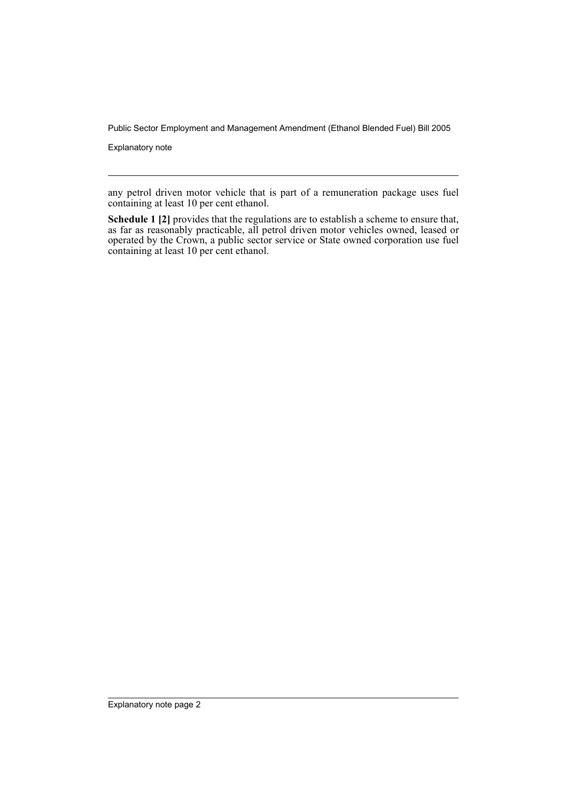Public Sector Employment and Management Amendment (Ethanol Blended Fuel) Bill 2005

Explanatory note

any petrol driven motor vehicle that is part of a remuneration package uses fuel containing at least 10 per cent ethanol.

**Schedule 1 [2]** provides that the regulations are to establish a scheme to ensure that, as far as reasonably practicable, all petrol driven motor vehicles owned, leased or operated by the Crown, a public sector service or State owned corporation use fuel containing at least 10 per cent ethanol.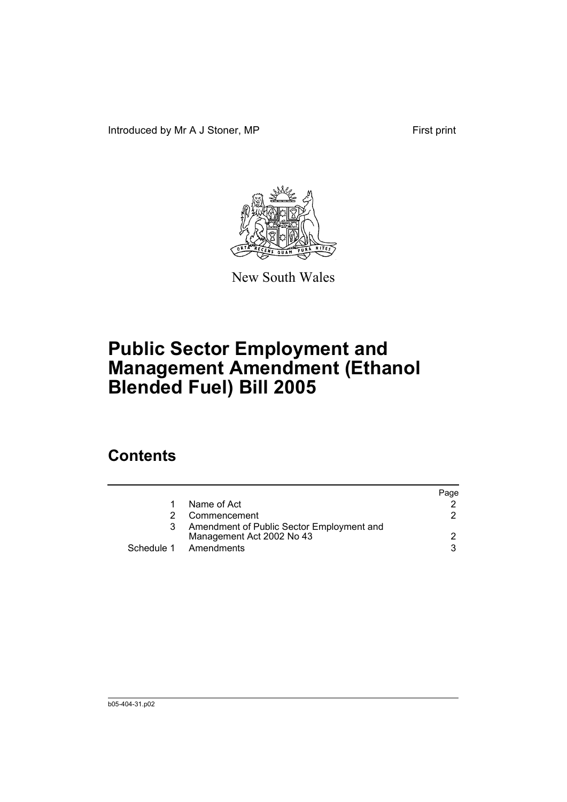Introduced by Mr A J Stoner, MP First print



New South Wales

# **Public Sector Employment and Management Amendment (Ethanol Blended Fuel) Bill 2005**

## **Contents**

|    |                                           | Page |
|----|-------------------------------------------|------|
| 1. | Name of Act                               |      |
|    | Commencement                              |      |
| 3  | Amendment of Public Sector Employment and |      |
|    | Management Act 2002 No 43                 | 2.   |
|    | Schedule 1 Amendments                     | વ    |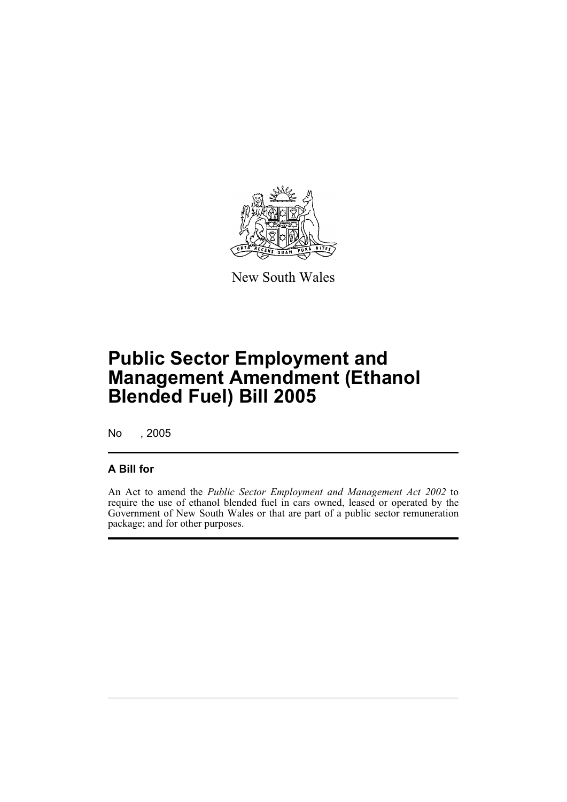

New South Wales

# **Public Sector Employment and Management Amendment (Ethanol Blended Fuel) Bill 2005**

No , 2005

#### **A Bill for**

An Act to amend the *Public Sector Employment and Management Act 2002* to require the use of ethanol blended fuel in cars owned, leased or operated by the Government of New South Wales or that are part of a public sector remuneration package; and for other purposes.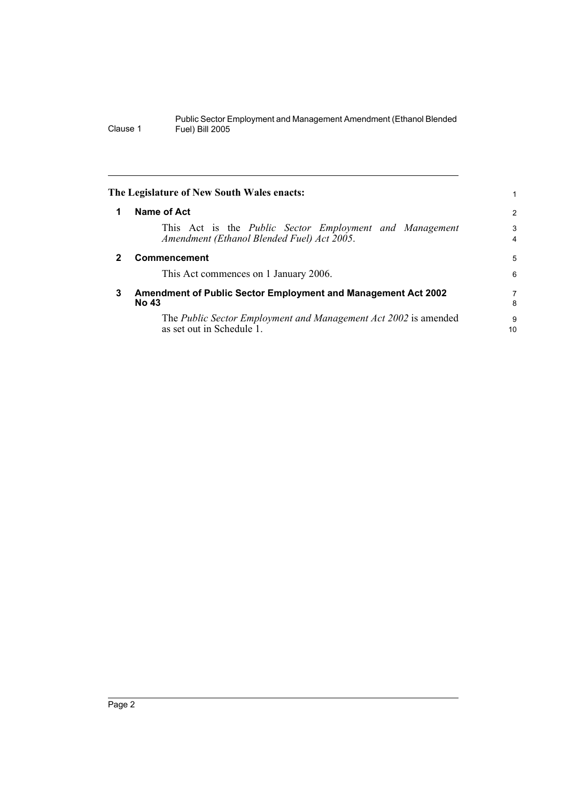|              | The Legislature of New South Wales enacts:                                                                   |                     |
|--------------|--------------------------------------------------------------------------------------------------------------|---------------------|
| 1            | Name of Act                                                                                                  | 2                   |
|              | This Act is the <i>Public Sector Employment and Management</i><br>Amendment (Ethanol Blended Fuel) Act 2005. | 3<br>$\overline{4}$ |
| $\mathbf{2}$ | <b>Commencement</b>                                                                                          | 5                   |
|              | This Act commences on 1 January 2006.                                                                        | 6                   |
| 3            | <b>Amendment of Public Sector Employment and Management Act 2002</b><br>No 43                                |                     |
|              | The Public Sector Employment and Management Act 2002 is amended<br>as set out in Schedule 1.                 | 9<br>10             |